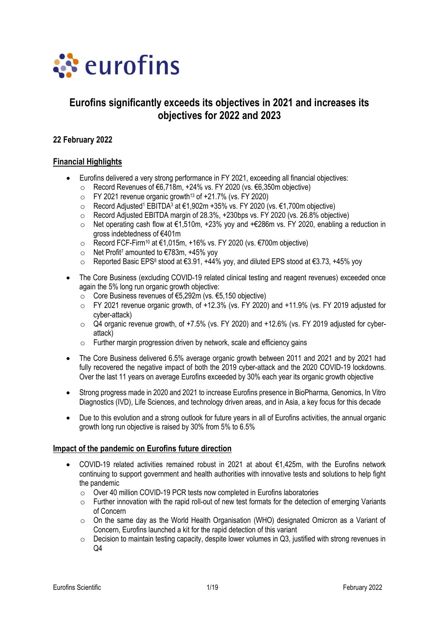

# **Eurofins significantly exceeds its objectives in 2021 and increases its objectives for 2022 and 2023**

# **22 February 2022**

#### **Financial Highlights**

- Eurofins delivered a very strong performance in FY 2021, exceeding all financial objectives:
	- o Record Revenues of €6,718m, +24% vs. FY 2020 (vs. €6,350m objective)
	- $\circ$  FY 2021 revenue organic growth<sup>13</sup> of +21.7% (vs. FY 2020)
	- o Record Adjusted<sup>1</sup> EBITDA<sup>3</sup> at €1,902m +35% vs. FY 2020 (vs. €1,700m objective)
	- o Record Adjusted EBITDA margin of 28.3%, +230bps vs. FY 2020 (vs. 26.8% objective)
	- o Net operating cash flow at €1,510m, +23% yoy and +€286m vs. FY 2020, enabling a reduction in gross indebtedness of €401m
	- o Record FCF-Firm<sup>10</sup> at €1,015m, +16% vs. FY 2020 (vs. €700m objective)
	- $\circ$  Net Profit<sup>7</sup> amounted to €783m, +45% yoy
	- o Reported Basic EPS<sup>8</sup> stood at €3.91, +44% yoy, and diluted EPS stood at €3.73, +45% yoy
- The Core Business (excluding COVID-19 related clinical testing and reagent revenues) exceeded once again the 5% long run organic growth objective:
	- o Core Business revenues of €5,292m (vs. €5,150 objective)
	- $\circ$  FY 2021 revenue organic growth, of +12.3% (vs. FY 2020) and +11.9% (vs. FY 2019 adjusted for cyber-attack)
	- o Q4 organic revenue growth, of +7.5% (vs. FY 2020) and +12.6% (vs. FY 2019 adjusted for cyberattack)
	- o Further margin progression driven by network, scale and efficiency gains
- The Core Business delivered 6.5% average organic growth between 2011 and 2021 and by 2021 had fully recovered the negative impact of both the 2019 cyber-attack and the 2020 COVID-19 lockdowns. Over the last 11 years on average Eurofins exceeded by 30% each year its organic growth objective
- Strong progress made in 2020 and 2021 to increase Eurofins presence in BioPharma, Genomics, In Vitro Diagnostics (IVD), Life Sciences, and technology driven areas, and in Asia, a key focus for this decade
- Due to this evolution and a strong outlook for future years in all of Eurofins activities, the annual organic growth long run objective is raised by 30% from 5% to 6.5%

#### **Impact of the pandemic on Eurofins future direction**

- COVID-19 related activities remained robust in 2021 at about €1,425m, with the Eurofins network continuing to support government and health authorities with innovative tests and solutions to help fight the pandemic
	- o Over 40 million COVID-19 PCR tests now completed in Eurofins laboratories
	- $\circ$  Further innovation with the rapid roll-out of new test formats for the detection of emerging Variants of Concern
	- $\circ$  On the same day as the World Health Organisation (WHO) designated Omicron as a Variant of Concern, Eurofins launched a kit for the rapid detection of this variant
	- $\circ$  Decision to maintain testing capacity, despite lower volumes in Q3, iustified with strong revenues in  $Q<sub>4</sub>$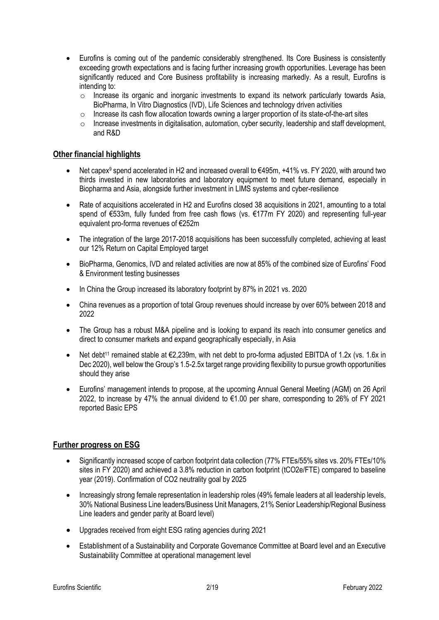- Eurofins is coming out of the pandemic considerably strengthened. Its Core Business is consistently exceeding growth expectations and is facing further increasing growth opportunities. Leverage has been significantly reduced and Core Business profitability is increasing markedly. As a result, Eurofins is intending to:
	- $\circ$  Increase its organic and inorganic investments to expand its network particularly towards Asia, BioPharma, In Vitro Diagnostics (IVD), Life Sciences and technology driven activities
	- $\circ$  Increase its cash flow allocation towards owning a larger proportion of its state-of-the-art sites
	- o Increase investments in digitalisation, automation, cyber security, leadership and staff development, and R&D

### **Other financial highlights**

- Net capex<sup>9</sup> spend accelerated in H2 and increased overall to €495m, +41% vs. FY 2020, with around two thirds invested in new laboratories and laboratory equipment to meet future demand, especially in Biopharma and Asia, alongside further investment in LIMS systems and cyber-resilience
- Rate of acquisitions accelerated in H2 and Eurofins closed 38 acquisitions in 2021, amounting to a total spend of €533m, fully funded from free cash flows (vs. €177m FY 2020) and representing full-year equivalent pro-forma revenues of €252m
- The integration of the large 2017-2018 acquisitions has been successfully completed, achieving at least our 12% Return on Capital Employed target
- BioPharma, Genomics, IVD and related activities are now at 85% of the combined size of Eurofins' Food & Environment testing businesses
- In China the Group increased its laboratory footprint by 87% in 2021 vs. 2020
- China revenues as a proportion of total Group revenues should increase by over 60% between 2018 and 2022
- The Group has a robust M&A pipeline and is looking to expand its reach into consumer genetics and direct to consumer markets and expand geographically especially, in Asia
- Net debt<sup>11</sup> remained stable at €2,239m, with net debt to pro-forma adjusted EBITDA of 1.2x (vs. 1.6x in Dec 2020), well below the Group's 1.5-2.5x target range providing flexibility to pursue growth opportunities should they arise
- Eurofins' management intends to propose, at the upcoming Annual General Meeting (AGM) on 26 April 2022, to increase by 47% the annual dividend to €1.00 per share, corresponding to 26% of FY 2021 reported Basic EPS

# **Further progress on ESG**

- Significantly increased scope of carbon footprint data collection (77% FTEs/55% sites vs. 20% FTEs/10% sites in FY 2020) and achieved a 3.8% reduction in carbon footprint (tCO2e/FTE) compared to baseline year (2019). Confirmation of CO2 neutrality goal by 2025
- Increasingly strong female representation in leadership roles (49% female leaders at all leadership levels, 30% National Business Line leaders/Business Unit Managers, 21% Senior Leadership/Regional Business Line leaders and gender parity at Board level)
- Upgrades received from eight ESG rating agencies during 2021
- Establishment of a Sustainability and Corporate Governance Committee at Board level and an Executive Sustainability Committee at operational management level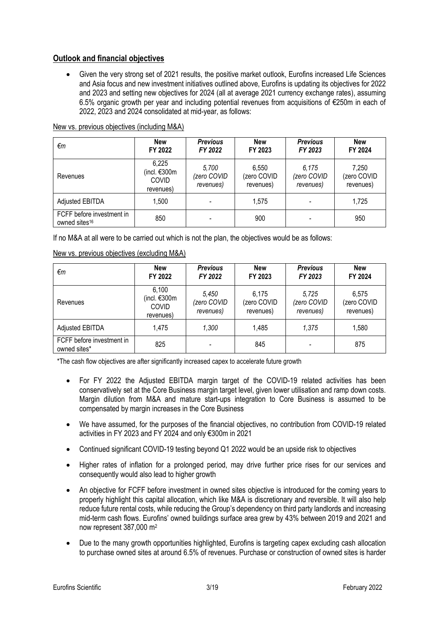# **Outlook and financial objectives**

• Given the very strong set of 2021 results, the positive market outlook, Eurofins increased Life Sciences and Asia focus and new investment initiatives outlined above, Eurofins is updating its objectives for 2022 and 2023 and setting new objectives for 2024 (all at average 2021 currency exchange rates), assuming 6.5% organic growth per year and including potential revenues from acquisitions of €250m in each of 2022, 2023 and 2024 consolidated at mid-year, as follows:

| €m                                                     | <b>New</b><br>FY 2022                              | <b>Previous</b><br>FY 2022        | <b>New</b><br>FY 2023             | <b>Previous</b><br>FY 2023        | <b>New</b><br>FY 2024             |
|--------------------------------------------------------|----------------------------------------------------|-----------------------------------|-----------------------------------|-----------------------------------|-----------------------------------|
| Revenues                                               | 6,225<br>(incl. €300m<br><b>COVID</b><br>revenues) | 5,700<br>(zero COVID<br>revenues) | 6,550<br>(zero COVID<br>revenues) | 6.175<br>(zero COVID<br>revenues) | 7,250<br>(zero COVID<br>revenues) |
| Adjusted EBITDA                                        | 1,500                                              |                                   | 1.575                             |                                   | 1,725                             |
| FCFF before investment in<br>owned sites <sup>16</sup> | 850                                                |                                   | 900                               |                                   | 950                               |

#### New vs. previous objectives (including M&A)

If no M&A at all were to be carried out which is not the plan, the objectives would be as follows:

| €m                                        | <b>New</b><br>FY 2022                                | <b>Previous</b><br>FY 2022        | <b>New</b><br>FY 2023             | <b>Previous</b><br>FY 2023        | <b>New</b><br>FY 2024             |
|-------------------------------------------|------------------------------------------------------|-----------------------------------|-----------------------------------|-----------------------------------|-----------------------------------|
| Revenues                                  | 6,100<br>(incl. $€300m$<br><b>COVID</b><br>revenues) | 5,450<br>(zero COVID<br>revenues) | 6,175<br>(zero COVID<br>revenues) | 5,725<br>(zero COVID<br>revenues) | 6,575<br>(zero COVID<br>revenues) |
| Adjusted EBITDA                           | 1,475                                                | 1,300                             | 1,485                             | 1,375                             | 1,580                             |
| FCFF before investment in<br>owned sites* | 825                                                  |                                   | 845                               |                                   | 875                               |

New vs. previous objectives (excluding M&A)

\*The cash flow objectives are after significantly increased capex to accelerate future growth

- For FY 2022 the Adjusted EBITDA margin target of the COVID-19 related activities has been conservatively set at the Core Business margin target level, given lower utilisation and ramp down costs. Margin dilution from M&A and mature start-ups integration to Core Business is assumed to be compensated by margin increases in the Core Business
- We have assumed, for the purposes of the financial objectives, no contribution from COVID-19 related activities in FY 2023 and FY 2024 and only €300m in 2021
- Continued significant COVID-19 testing beyond Q1 2022 would be an upside risk to objectives
- Higher rates of inflation for a prolonged period, may drive further price rises for our services and consequently would also lead to higher growth
- An objective for FCFF before investment in owned sites objective is introduced for the coming years to properly highlight this capital allocation, which like M&A is discretionary and reversible. It will also help reduce future rental costs, while reducing the Group's dependency on third party landlords and increasing mid-term cash flows. Eurofins' owned buildings surface area grew by 43% between 2019 and 2021 and now represent 387,000 m<sup>2</sup>
- Due to the many growth opportunities highlighted, Eurofins is targeting capex excluding cash allocation to purchase owned sites at around 6.5% of revenues. Purchase or construction of owned sites is harder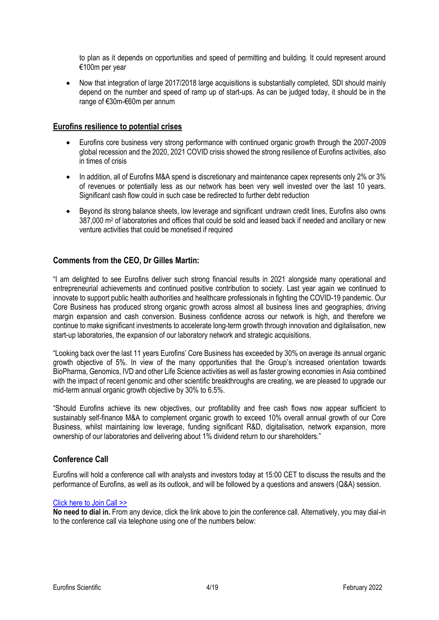to plan as it depends on opportunities and speed of permitting and building. It could represent around €100m per year

• Now that integration of large 2017/2018 large acquisitions is substantially completed, SDI should mainly depend on the number and speed of ramp up of start-ups. As can be judged today, it should be in the range of €30m-€60m per annum

#### **Eurofins resilience to potential crises**

- Eurofins core business very strong performance with continued organic growth through the 2007-2009 global recession and the 2020, 2021 COVID crisis showed the strong resilience of Eurofins activities, also in times of crisis
- In addition, all of Eurofins M&A spend is discretionary and maintenance capex represents only 2% or 3% of revenues or potentially less as our network has been very well invested over the last 10 years. Significant cash flow could in such case be redirected to further debt reduction
- Beyond its strong balance sheets, low leverage and significant undrawn credit lines, Eurofins also owns 387,000 m<sup>2</sup> of laboratories and offices that could be sold and leased back if needed and ancillary or new venture activities that could be monetised if required

# **Comments from the CEO, Dr Gilles Martin:**

"I am delighted to see Eurofins deliver such strong financial results in 2021 alongside many operational and entrepreneurial achievements and continued positive contribution to society. Last year again we continued to innovate to support public health authorities and healthcare professionals in fighting the COVID-19 pandemic. Our Core Business has produced strong organic growth across almost all business lines and geographies, driving margin expansion and cash conversion. Business confidence across our network is high, and therefore we continue to make significant investments to accelerate long-term growth through innovation and digitalisation, new start-up laboratories, the expansion of our laboratory network and strategic acquisitions.

"Looking back over the last 11 years Eurofins' Core Business has exceeded by 30% on average its annual organic growth objective of 5%. In view of the many opportunities that the Group's increased orientation towards BioPharma, Genomics, IVD and other Life Science activities as well as faster growing economies in Asia combined with the impact of recent genomic and other scientific breakthroughs are creating, we are pleased to upgrade our mid-term annual organic growth objective by 30% to 6.5%.

"Should Eurofins achieve its new objectives, our profitability and free cash flows now appear sufficient to sustainably self-finance M&A to complement organic growth to exceed 10% overall annual growth of our Core Business, whilst maintaining low leverage, funding significant R&D, digitalisation, network expansion, more ownership of our laboratories and delivering about 1% dividend return to our shareholders."

# **Conference Call**

Eurofins will hold a conference call with analysts and investors today at 15:00 CET to discuss the results and the performance of Eurofins, as well as its outlook, and will be followed by a questions and answers (Q&A) session.

#### [Click here to Join Call >>](https://event.webcasts.com/starthere.jsp?ei=1522682&tp_key=6821786132)

**No need to dial in.** From any device, click the link above to join the conference call. Alternatively, you may dial-in to the conference call via telephone using one of the numbers below: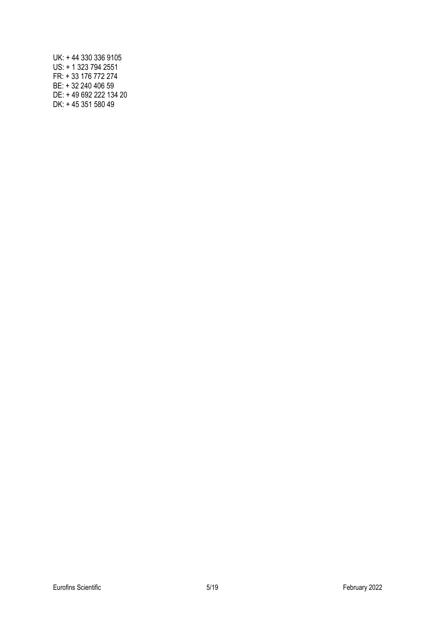UK: + 44 330 336 9105 US: + 1 323 794 2551 FR: + 33 176 772 274 BE: + 32 240 406 59 DE: + 49 692 222 134 20 DK: + 45 351 580 49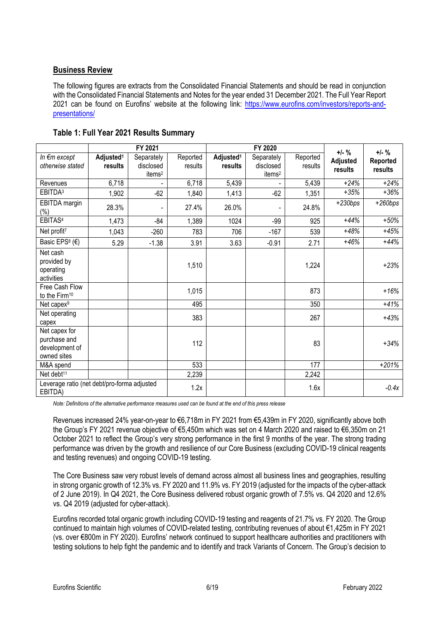# **Business Review**

The following figures are extracts from the Consolidated Financial Statements and should be read in conjunction with the Consolidated Financial Statements and Notes for the year ended 31 December 2021. The Full Year Report 2021 can be found on Eurofins' website at the following link: [https://www.eurofins.com/investors/reports-and](https://www.eurofins.com/investors/reports-and-presentations/)[presentations/](https://www.eurofins.com/investors/reports-and-presentations/)

|                                                                |                       | FY 2021            |          | FY 2020               |                    |          | $+/-$ %   | $+/-$ %   |
|----------------------------------------------------------------|-----------------------|--------------------|----------|-----------------------|--------------------|----------|-----------|-----------|
| In €m except                                                   | Adjusted <sup>1</sup> | Separately         | Reported | Adjusted <sup>1</sup> | Separately         | Reported | Adjusted  | Reported  |
| otherwise stated                                               | results               | disclosed          | results  | results               | disclosed          | results  | results   | results   |
|                                                                |                       | items <sup>2</sup> |          |                       | items <sup>2</sup> |          |           |           |
| Revenues                                                       | 6,718                 |                    | 6,718    | 5,439                 |                    | 5,439    | $+24%$    | $+24%$    |
| EBITDA <sup>3</sup>                                            | 1,902                 | $-62$              | 1,840    | 1,413                 | $-62$              | 1,351    | $+35%$    | $+36%$    |
| EBITDA margin                                                  | 28.3%                 |                    | 27.4%    | 26.0%                 |                    | 24.8%    | $+230bps$ | $+260bps$ |
| $(\% )$<br>EBITAS <sup>4</sup>                                 | 1,473                 | $-84$              | 1,389    | 1024                  | $-99$              | 925      | $+44%$    | $+50%$    |
| Net profit <sup>7</sup>                                        |                       |                    |          |                       |                    |          | $+48%$    | $+45%$    |
|                                                                | 1,043                 | $-260$             | 783      | 706                   | $-167$             | 539      |           |           |
| Basic EPS <sup>8</sup> (€)                                     | 5.29                  | $-1.38$            | 3.91     | 3.63                  | $-0.91$            | 2.71     | $+46%$    | $+44%$    |
| Net cash<br>provided by<br>operating<br>activities             |                       |                    | 1,510    |                       |                    | 1,224    |           | $+23%$    |
| Free Cash Flow<br>to the Firm <sup>10</sup>                    |                       |                    | 1,015    |                       |                    | 873      |           | $+16%$    |
| Net capex <sup>9</sup>                                         |                       |                    | 495      |                       |                    | 350      |           | $+41%$    |
| Net operating<br>capex                                         |                       |                    | 383      |                       |                    | 267      |           | $+43%$    |
| Net capex for<br>purchase and<br>development of<br>owned sites |                       |                    | 112      |                       |                    | 83       |           | $+34%$    |
| M&A spend                                                      |                       |                    | 533      |                       |                    | 177      |           | $+201%$   |
| Net debt <sup>11</sup>                                         |                       |                    | 2,239    |                       |                    | 2,242    |           |           |
| Leverage ratio (net debt/pro-forma adjusted<br>EBITDA)         |                       |                    | 1.2x     |                       |                    | 1.6x     |           | $-0.4x$   |

**Table 1: Full Year 2021 Results Summary**

*Note: Definitions of the alternative performance measures used can be found at the end of this press release*

Revenues increased 24% year-on-year to €6,718m in FY 2021 from €5,439m in FY 2020, significantly above both the Group's FY 2021 revenue objective of €5,450m which was set on 4 March 2020 and raised to €6,350m on 21 October 2021 to reflect the Group's very strong performance in the first 9 months of the year. The strong trading performance was driven by the growth and resilience of our Core Business (excluding COVID-19 clinical reagents and testing revenues) and ongoing COVID-19 testing.

The Core Business saw very robust levels of demand across almost all business lines and geographies, resulting in strong organic growth of 12.3% vs. FY 2020 and 11.9% vs. FY 2019 (adjusted for the impacts of the cyber-attack of 2 June 2019). In Q4 2021, the Core Business delivered robust organic growth of 7.5% vs. Q4 2020 and 12.6% vs. Q4 2019 (adjusted for cyber-attack).

Eurofins recorded total organic growth including COVID-19 testing and reagents of 21.7% vs. FY 2020. The Group continued to maintain high volumes of COVID-related testing, contributing revenues of about €1,425m in FY 2021 (vs. over €800m in FY 2020). Eurofins' network continued to support healthcare authorities and practitioners with testing solutions to help fight the pandemic and to identify and track Variants of Concern. The Group's decision to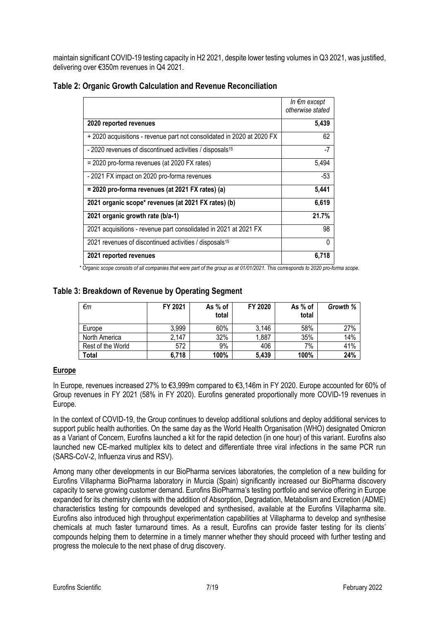maintain significant COVID-19 testing capacity in H2 2021, despite lower testing volumes in Q3 2021, was justified, delivering over €350m revenues in Q4 2021.

|                                                                                                                          | In €m except<br>otherwise stated |
|--------------------------------------------------------------------------------------------------------------------------|----------------------------------|
| 2020 reported revenues                                                                                                   | 5,439                            |
| + 2020 acquisitions - revenue part not consolidated in 2020 at 2020 FX                                                   | 62                               |
| - 2020 revenues of discontinued activities / disposals <sup>15</sup>                                                     | -7                               |
| = 2020 pro-forma revenues (at 2020 FX rates)                                                                             | 5,494                            |
| - 2021 FX impact on 2020 pro-forma revenues                                                                              | -53                              |
| = 2020 pro-forma revenues (at 2021 FX rates) (a)                                                                         | 5,441                            |
| 2021 organic scope* revenues (at 2021 FX rates) (b)                                                                      | 6,619                            |
| 2021 organic growth rate (b/a-1)                                                                                         | 21.7%                            |
| 2021 acquisitions - revenue part consolidated in 2021 at 2021 FX                                                         | 98                               |
| 2021 revenues of discontinued activities / disposals <sup>15</sup>                                                       | 0                                |
| 2021 reported revenues                                                                                                   | 6,718                            |
| * Organic seems consiste of all companies that were nort of the group as at 01/01/2021. This corresponds to 2020 pro for |                                  |

# **Table 2: Organic Growth Calculation and Revenue Reconciliation**

*\* Organic scope consists of all companies that were part of the group as at 01/01/2021. This corresponds to 2020 pro-forma scope.*

# **Table 3: Breakdown of Revenue by Operating Segment**

| €m                | FY 2021 | As % of<br>total | FY 2020 | As % of<br>total | Growth % |
|-------------------|---------|------------------|---------|------------------|----------|
| Europe            | 3.999   | 60%              | 3,146   | 58%              | 27%      |
| North America     | 2.147   | 32%              | 1,887   | 35%              | 14%      |
| Rest of the World | 572     | 9%               | 406     | 7%               | 41%      |
| Total             | 6,718   | 100%             | 5,439   | 100%             | 24%      |

# **Europe**

In Europe, revenues increased 27% to €3,999m compared to €3,146m in FY 2020. Europe accounted for 60% of Group revenues in FY 2021 (58% in FY 2020). Eurofins generated proportionally more COVID-19 revenues in Europe.

In the context of COVID-19, the Group continues to develop additional solutions and deploy additional services to support public health authorities. On the same day as the World Health Organisation (WHO) designated Omicron as a Variant of Concern, Eurofins launched a kit for the rapid detection (in one hour) of this variant. Eurofins also launched new CE-marked multiplex kits to detect and differentiate three viral infections in the same PCR run (SARS-CoV-2, Influenza virus and RSV).

Among many other developments in our BioPharma services laboratories, the completion of a new building for Eurofins Villapharma BioPharma laboratory in Murcia (Spain) significantly increased our BioPharma discovery capacity to serve growing customer demand. Eurofins BioPharma's testing portfolio and service offering in Europe expanded for its chemistry clients with the addition of Absorption, Degradation, Metabolism and Excretion (ADME) characteristics testing for compounds developed and synthesised, available at the Eurofins Villapharma site. Eurofins also introduced high throughput experimentation capabilities at Villapharma to develop and synthesise chemicals at much faster turnaround times. As a result, Eurofins can provide faster testing for its clients' compounds helping them to determine in a timely manner whether they should proceed with further testing and progress the molecule to the next phase of drug discovery.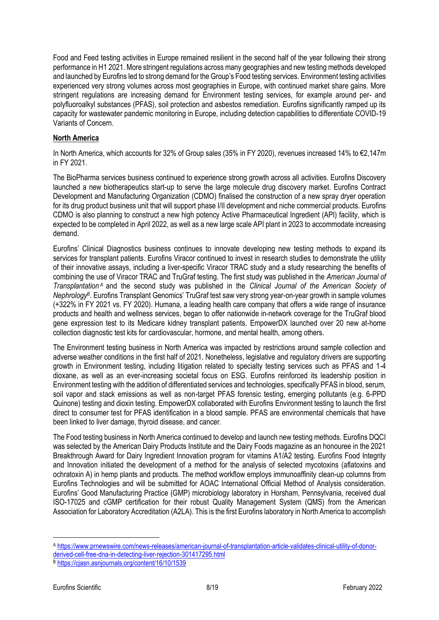Food and Feed testing activities in Europe remained resilient in the second half of the year following their strong performance in H1 2021. More stringent regulations across many geographies and new testing methods developed and launched by Eurofins led to strong demand for the Group's Food testing services. Environment testing activities experienced very strong volumes across most geographies in Europe, with continued market share gains. More stringent regulations are increasing demand for Environment testing services, for example around per- and polyfluoroalkyl substances (PFAS), soil protection and asbestos remediation. Eurofins significantly ramped up its capacity for wastewater pandemic monitoring in Europe, including detection capabilities to differentiate COVID-19 Variants of Concern.

#### **North America**

In North America, which accounts for 32% of Group sales (35% in FY 2020), revenues increased 14% to €2,147m in FY 2021.

The BioPharma services business continued to experience strong growth across all activities. Eurofins Discovery launched a new biotherapeutics start-up to serve the large molecule drug discovery market. Eurofins Contract Development and Manufacturing Organization (CDMO) finalised the construction of a new spray dryer operation for its drug product business unit that will support phase I/II development and niche commercial products. Eurofins CDMO is also planning to construct a new high potency Active Pharmaceutical Ingredient (API) facility, which is expected to be completed in April 2022, as well as a new large scale API plant in 2023 to accommodate increasing demand.

Eurofins' Clinical Diagnostics business continues to innovate developing new testing methods to expand its services for transplant patients. Eurofins Viracor continued to invest in research studies to demonstrate the utility of their innovative assays, including a liver-specific Viracor TRAC study and a study researching the benefits of combining the use of Viracor TRAC and TruGraf testing. The first study was published in the *American Journal of Transplantation <sup>A</sup>* and the second study was published in the *Clinical Journal of the American Society of Nephrology<sup>B</sup>* . Eurofins Transplant Genomics' TruGraf test saw very strong year-on-year growth in sample volumes (+322% in FY 2021 vs. FY 2020). Humana, a leading health care company that offers a wide range of insurance products and health and wellness services, began to offer nationwide in-network coverage for the TruGraf blood gene expression test to its Medicare kidney transplant patients. EmpowerDX launched over 20 new at-home collection diagnostic test kits for cardiovascular, hormone, and mental health, among others.

The Environment testing business in North America was impacted by restrictions around sample collection and adverse weather conditions in the first half of 2021. Nonetheless, legislative and regulatory drivers are supporting growth in Environment testing, including litigation related to specialty testing services such as PFAS and 1-4 dioxane, as well as an ever-increasing societal focus on ESG. Eurofins reinforced its leadership position in Environment testing with the addition of differentiated services and technologies, specifically PFAS in blood, serum, soil vapor and stack emissions as well as non-target PFAS forensic testing, emerging pollutants (e.g. 6-PPD Quinone) testing and dioxin testing. EmpowerDX collaborated with Eurofins Environment testing to launch the first direct to consumer test for PFAS identification in a blood sample. PFAS are environmental chemicals that have been linked to liver damage, thyroid disease, and cancer.

The Food testing business in North America continued to develop and launch new testing methods. Eurofins DQCI was selected by the American Dairy Products Institute and the Dairy Foods magazine as an honouree in the 2021 Breakthrough Award for Dairy Ingredient Innovation program for vitamins A1/A2 testing. Eurofins Food Integrity and Innovation initiated the development of a method for the analysis of selected mycotoxins (aflatoxins and ochratoxin A) in hemp plants and products. The method workflow employs immunoaffinity clean-up columns from Eurofins Technologies and will be submitted for AOAC International Official Method of Analysis consideration. Eurofins' Good Manufacturing Practice (GMP) microbiology laboratory in Horsham, Pennsylvania, received dual ISO-17025 and cGMP certification for their robust Quality Management System (QMS) from the American Association for Laboratory Accreditation (A2LA). This is the first Eurofins laboratory in North America to accomplish

<sup>A</sup> [https://www.prnewswire.com/news-releases/american-journal-of-transplantation-article-validates-clinical-utility-of-donor](https://www.prnewswire.com/news-releases/american-journal-of-transplantation-article-validates-clinical-utility-of-donor-derived-cell-free-dna-in-detecting-liver-rejection-301417295.html)[derived-cell-free-dna-in-detecting-liver-rejection-301417295.html](https://www.prnewswire.com/news-releases/american-journal-of-transplantation-article-validates-clinical-utility-of-donor-derived-cell-free-dna-in-detecting-liver-rejection-301417295.html)

<sup>B</sup> <https://cjasn.asnjournals.org/content/16/10/1539>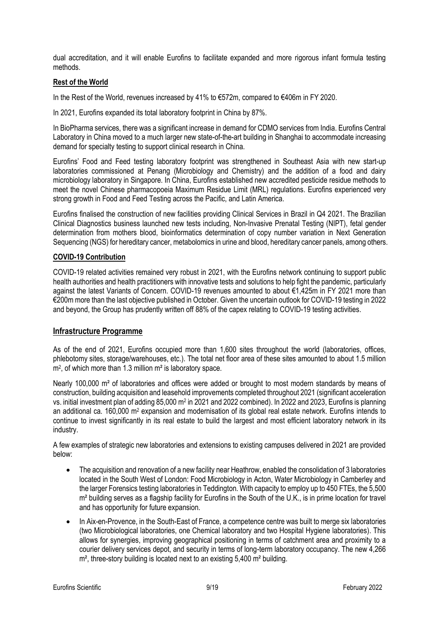dual accreditation, and it will enable Eurofins to facilitate expanded and more rigorous infant formula testing methods.

### **Rest of the World**

In the Rest of the World, revenues increased by 41% to €572m, compared to €406m in FY 2020.

In 2021, Eurofins expanded its total laboratory footprint in China by 87%.

In BioPharma services, there was a significant increase in demand for CDMO services from India. Eurofins Central Laboratory in China moved to a much larger new state-of-the-art building in Shanghai to accommodate increasing demand for specialty testing to support clinical research in China.

Eurofins' Food and Feed testing laboratory footprint was strengthened in Southeast Asia with new start-up laboratories commissioned at Penang (Microbiology and Chemistry) and the addition of a food and dairy microbiology laboratory in Singapore. In China, Eurofins established new accredited pesticide residue methods to meet the novel Chinese pharmacopoeia Maximum Residue Limit (MRL) regulations. Eurofins experienced very strong growth in Food and Feed Testing across the Pacific, and Latin America.

Eurofins finalised the construction of new facilities providing Clinical Services in Brazil in Q4 2021. The Brazilian Clinical Diagnostics business launched new tests including, Non-Invasive Prenatal Testing (NIPT), fetal gender determination from mothers blood, bioinformatics determination of copy number variation in Next Generation Sequencing (NGS) for hereditary cancer, metabolomics in urine and blood, hereditary cancer panels, among others.

# **COVID-19 Contribution**

COVID-19 related activities remained very robust in 2021, with the Eurofins network continuing to support public health authorities and health practitioners with innovative tests and solutions to help fight the pandemic, particularly against the latest Variants of Concern. COVID-19 revenues amounted to about €1,425m in FY 2021 more than €200m more than the last objective published in October. Given the uncertain outlook for COVID-19 testing in 2022 and beyond, the Group has prudently written off 88% of the capex relating to COVID-19 testing activities.

# **Infrastructure Programme**

As of the end of 2021, Eurofins occupied more than 1,600 sites throughout the world (laboratories, offices, phlebotomy sites, storage/warehouses, etc.). The total net floor area of these sites amounted to about 1.5 million m<sup>2</sup>, of which more than 1.3 million m<sup>2</sup> is laboratory space.

Nearly 100,000 m<sup>2</sup> of laboratories and offices were added or brought to most modern standards by means of construction, building acquisition and leasehold improvements completed throughout 2021 (significant acceleration vs. initial investment plan of adding 85,000 m<sup>2</sup> in 2021 and 2022 combined). In 2022 and 2023, Eurofins is planning an additional ca. 160,000 m<sup>2</sup> expansion and modernisation of its global real estate network. Eurofins intends to continue to invest significantly in its real estate to build the largest and most efficient laboratory network in its industry.

A few examples of strategic new laboratories and extensions to existing campuses delivered in 2021 are provided below:

- The acquisition and renovation of a new facility near Heathrow, enabled the consolidation of 3 laboratories located in the South West of London: Food Microbiology in Acton, Water Microbiology in Camberley and the larger Forensics testing laboratories in Teddington. With capacity to employ up to 450 FTEs, the 5,500 m² building serves as a flagship facility for Eurofins in the South of the U.K., is in prime location for travel and has opportunity for future expansion.
- In Aix-en-Provence, in the South-East of France, a competence centre was built to merge six laboratories (two Microbiological laboratories, one Chemical laboratory and two Hospital Hygiene laboratories). This allows for synergies, improving geographical positioning in terms of catchment area and proximity to a courier delivery services depot, and security in terms of long-term laboratory occupancy. The new 4,266 m<sup>2</sup>, three-story building is located next to an existing 5,400 m<sup>2</sup> building.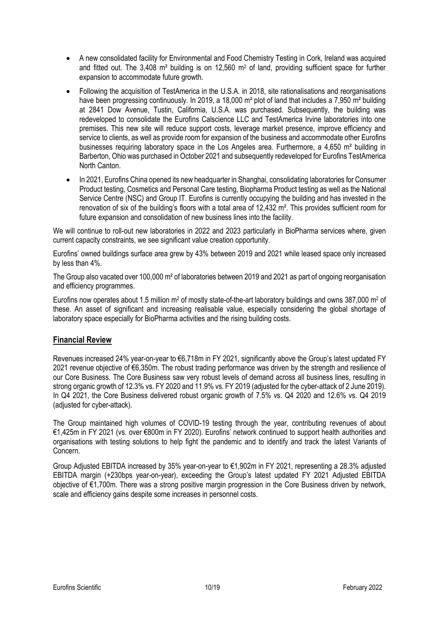- A new consolidated facility for Environmental and Food Chemistry Testing in Cork, Ireland was acquired and fitted out. The 3,408 m² building is on 12,560 m<sup>2</sup> of land, providing sufficient space for further expansion to accommodate future growth.
- Following the acquisition of TestAmerica in the U.S.A. in 2018, site rationalisations and reorganisations have been progressing continuously. In 2019, a 18,000 m<sup>2</sup> plot of land that includes a 7,950 m<sup>2</sup> building at 2841 Dow Avenue, Tustin, California, U.S.A. was purchased. Subsequently, the building was redeveloped to consolidate the Eurofins Calscience LLC and TestAmerica Irvine laboratories into one premises. This new site will reduce support costs, leverage market presence, improve efficiency and service to clients, as well as provide room for expansion of the business and accommodate other Eurofins businesses requiring laboratory space in the Los Angeles area. Furthermore, a 4,650 m² building in Barberton, Ohio was purchased in October 2021 and subsequently redeveloped for Eurofins TestAmerica North Canton.
- In 2021, Eurofins China opened its new headquarter in Shanghai, consolidating laboratories for Consumer Product testing, Cosmetics and Personal Care testing, Biopharma Product testing as well as the National Service Centre (NSC) and Group IT. Eurofins is currently occupying the building and has invested in the renovation of six of the building's floors with a total area of 12,432 m². This provides sufficient room for future expansion and consolidation of new business lines into the facility.

We will continue to roll-out new laboratories in 2022 and 2023 particularly in BioPharma services where, given current capacity constraints, we see significant value creation opportunity.

Eurofins' owned buildings surface area grew by 43% between 2019 and 2021 while leased space only increased by less than 4%.

The Group also vacated over 100,000 m² of laboratories between 2019 and 2021 as part of ongoing reorganisation and efficiency programmes.

Eurofins now operates about 1.5 million m<sup>2</sup> of mostly state-of-the-art laboratory buildings and owns 387,000 m<sup>2</sup> of these. An asset of significant and increasing realisable value, especially considering the global shortage of laboratory space especially for BioPharma activities and the rising building costs.

# **Financial Review**

Revenues increased 24% year-on-year to €6,718m in FY 2021, significantly above the Group's latest updated FY 2021 revenue objective of €6,350m. The robust trading performance was driven by the strength and resilience of our Core Business. The Core Business saw very robust levels of demand across all business lines, resulting in strong organic growth of 12.3% vs. FY 2020 and 11.9% vs. FY 2019 (adjusted for the cyber-attack of 2 June 2019). In Q4 2021, the Core Business delivered robust organic growth of 7.5% vs. Q4 2020 and 12.6% vs. Q4 2019 (adjusted for cyber-attack).

The Group maintained high volumes of COVID-19 testing through the year, contributing revenues of about €1,425m in FY 2021 (vs. over €800m in FY 2020). Eurofins' network continued to support health authorities and organisations with testing solutions to help fight the pandemic and to identify and track the latest Variants of Concern.

Group Adjusted EBITDA increased by 35% year-on-year to €1,902m in FY 2021, representing a 28.3% adjusted EBITDA margin (+230bps year-on-year), exceeding the Group's latest updated FY 2021 Adjusted EBITDA objective of €1,700m. There was a strong positive margin progression in the Core Business driven by network, scale and efficiency gains despite some increases in personnel costs.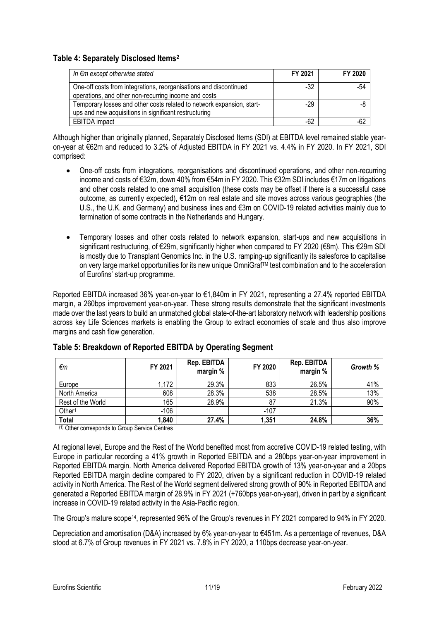# **Table 4: Separately Disclosed Items<sup>2</sup>**

| In €m except otherwise stated                                         | FY 2021 | FY 2020 |
|-----------------------------------------------------------------------|---------|---------|
| One-off costs from integrations, reorganisations and discontinued     | $-32$   | -54     |
| operations, and other non-recurring income and costs                  |         |         |
| Temporary losses and other costs related to network expansion, start- | $-29$   | -8      |
| ups and new acquisitions in significant restructuring                 |         |         |
| <b>EBITDA</b> impact                                                  | $-62$   | $-62$   |

Although higher than originally planned, Separately Disclosed Items (SDI) at EBITDA level remained stable yearon-year at €62m and reduced to 3.2% of Adjusted EBITDA in FY 2021 vs. 4.4% in FY 2020. In FY 2021, SDI comprised:

- One-off costs from integrations, reorganisations and discontinued operations, and other non-recurring income and costs of €32m, down 40% from €54m in FY 2020. This €32m SDI includes €17m on litigations and other costs related to one small acquisition (these costs may be offset if there is a successful case outcome, as currently expected), €12m on real estate and site moves across various geographies (the U.S., the U.K. and Germany) and business lines and €3m on COVID-19 related activities mainly due to termination of some contracts in the Netherlands and Hungary.
- Temporary losses and other costs related to network expansion, start-ups and new acquisitions in significant restructuring, of €29m, significantly higher when compared to FY 2020 (€8m). This €29m SDI is mostly due to Transplant Genomics Inc. in the U.S. ramping-up significantly its salesforce to capitalise on very large market opportunities for its new unique OmniGraf™ test combination and to the acceleration of Eurofins' start-up programme.

Reported EBITDA increased 36% year-on-year to €1,840m in FY 2021, representing a 27.4% reported EBITDA margin, a 260bps improvement year-on-year. These strong results demonstrate that the significant investments made over the last years to build an unmatched global state-of-the-art laboratory network with leadership positions across key Life Sciences markets is enabling the Group to extract economies of scale and thus also improve margins and cash flow generation.

| €m                 | FY 2021 | Rep. EBITDA<br>margin % | FY 2020 | Rep. EBITDA<br>margin % | Growth % |
|--------------------|---------|-------------------------|---------|-------------------------|----------|
| Europe             | 1,172   | 29.3%                   | 833     | 26.5%                   | 41%      |
| North America      | 608     | 28.3%                   | 538     | 28.5%                   | 13%      |
| Rest of the World  | 165     | 28.9%                   | 87      | 21.3%                   | 90%      |
| Other <sup>1</sup> | $-106$  |                         | $-107$  |                         |          |
| <b>Total</b>       | 1,840   | 27.4%                   | 1,351   | 24.8%                   | 36%      |

# **Table 5: Breakdown of Reported EBITDA by Operating Segment**

(1) Other corresponds to Group Service Centres

At regional level, Europe and the Rest of the World benefited most from accretive COVID-19 related testing, with Europe in particular recording a 41% growth in Reported EBITDA and a 280bps year-on-year improvement in Reported EBITDA margin. North America delivered Reported EBITDA growth of 13% year-on-year and a 20bps Reported EBITDA margin decline compared to FY 2020, driven by a significant reduction in COVID-19 related activity in North America. The Rest of the World segment delivered strong growth of 90% in Reported EBITDA and generated a Reported EBITDA margin of 28.9% in FY 2021 (+760bps year-on-year), driven in part by a significant increase in COVID-19 related activity in the Asia-Pacific region.

The Group's mature scope<sup>14</sup>, represented 96% of the Group's revenues in FY 2021 compared to 94% in FY 2020.

Depreciation and amortisation (D&A) increased by 6% year-on-year to €451m. As a percentage of revenues, D&A stood at 6.7% of Group revenues in FY 2021 vs. 7.8% in FY 2020, a 110bps decrease year-on-year.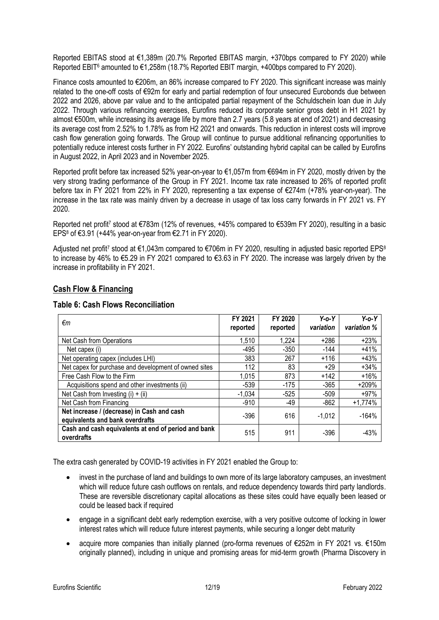Reported EBITAS stood at €1,389m (20.7% Reported EBITAS margin, +370bps compared to FY 2020) while Reported EBIT<sup>6</sup> amounted to €1,258m (18.7% Reported EBIT margin, +400bps compared to FY 2020).

Finance costs amounted to €206m, an 86% increase compared to FY 2020. This significant increase was mainly related to the one-off costs of €92m for early and partial redemption of four unsecured Eurobonds due between 2022 and 2026, above par value and to the anticipated partial repayment of the Schuldschein loan due in July 2022. Through various refinancing exercises, Eurofins reduced its corporate senior gross debt in H1 2021 by almost €500m, while increasing its average life by more than 2.7 years (5.8 years at end of 2021) and decreasing its average cost from 2.52% to 1.78% as from H2 2021 and onwards. This reduction in interest costs will improve cash flow generation going forwards. The Group will continue to pursue additional refinancing opportunities to potentially reduce interest costs further in FY 2022. Eurofins' outstanding hybrid capital can be called by Eurofins in August 2022, in April 2023 and in November 2025.

Reported profit before tax increased 52% year-on-year to €1,057m from €694m in FY 2020, mostly driven by the very strong trading performance of the Group in FY 2021. Income tax rate increased to 26% of reported profit before tax in FY 2021 from 22% in FY 2020, representing a tax expense of €274m (+78% year-on-year). The increase in the tax rate was mainly driven by a decrease in usage of tax loss carry forwards in FY 2021 vs. FY 2020.

Reported net profit<sup>7</sup> stood at €783m (12% of revenues, +45% compared to €539m FY 2020), resulting in a basic EPS<sup>8</sup> of €3.91 (+44% year-on-year from €2.71 in FY 2020).

Adjusted net profit<sup>7</sup> stood at €1,043m compared to €706m in FY 2020, resulting in adjusted basic reported EPS<sup>8</sup> to increase by 46% to €5.29 in FY 2021 compared to €3.63 in FY 2020. The increase was largely driven by the increase in profitability in FY 2021.

# **Cash Flow & Financing**

| <b>Table 6: Cash Flows Reconciliation</b> |  |
|-------------------------------------------|--|
|-------------------------------------------|--|

| €m                                                                            | FY 2021<br>reported | FY 2020<br>reported | $Y$ -o- $Y$<br>variation | $Y$ -0- $Y$<br>variation % |
|-------------------------------------------------------------------------------|---------------------|---------------------|--------------------------|----------------------------|
| Net Cash from Operations                                                      | 1,510               | 1,224               | $+286$                   | $+23%$                     |
| Net capex (i)                                                                 | -495                | $-350$              | $-144$                   | $+41%$                     |
| Net operating capex (includes LHI)                                            | 383                 | 267                 | $+116$                   | $+43%$                     |
| Net capex for purchase and development of owned sites                         | 112                 | 83                  | $+29$                    | $+34%$                     |
| Free Cash Flow to the Firm                                                    | 1,015               | 873                 | $+142$                   | $+16%$                     |
| Acquisitions spend and other investments (ii)                                 | $-539$              | $-175$              | $-365$                   | $+209%$                    |
| Net Cash from Investing $(i) + (ii)$                                          | $-1,034$            | $-525$              | $-509$                   | $+97%$                     |
| Net Cash from Financing                                                       | $-910$              | -49                 | $-862$                   | $+1,774%$                  |
| Net increase / (decrease) in Cash and cash<br>equivalents and bank overdrafts | $-396$              | 616                 | $-1.012$                 | $-164%$                    |
| Cash and cash equivalents at end of period and bank<br>overdrafts             | 515                 | 911                 | $-396$                   | $-43%$                     |

The extra cash generated by COVID-19 activities in FY 2021 enabled the Group to:

- invest in the purchase of land and buildings to own more of its large laboratory campuses, an investment which will reduce future cash outflows on rentals, and reduce dependency towards third party landlords. These are reversible discretionary capital allocations as these sites could have equally been leased or could be leased back if required
- engage in a significant debt early redemption exercise, with a very positive outcome of locking in lower interest rates which will reduce future interest payments, while securing a longer debt maturity
- acquire more companies than initially planned (pro-forma revenues of €252m in FY 2021 vs. €150m originally planned), including in unique and promising areas for mid-term growth (Pharma Discovery in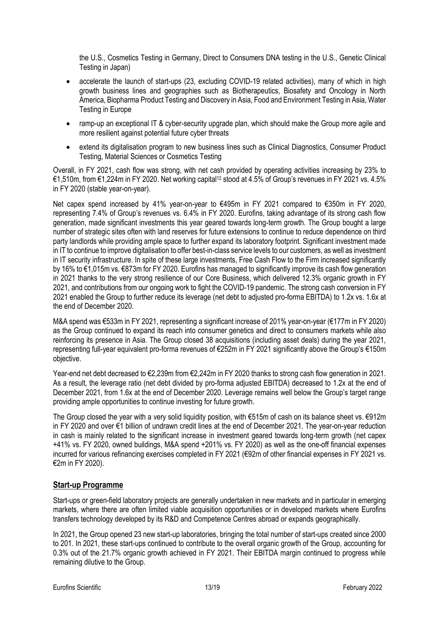the U.S., Cosmetics Testing in Germany, Direct to Consumers DNA testing in the U.S., Genetic Clinical Testing in Japan)

- accelerate the launch of start-ups (23, excluding COVID-19 related activities), many of which in high growth business lines and geographies such as Biotherapeutics, Biosafety and Oncology in North America, Biopharma Product Testing and Discovery in Asia, Food and Environment Testing in Asia, Water Testing in Europe
- ramp-up an exceptional IT & cyber-security upgrade plan, which should make the Group more agile and more resilient against potential future cyber threats
- extend its digitalisation program to new business lines such as Clinical Diagnostics, Consumer Product Testing, Material Sciences or Cosmetics Testing

Overall, in FY 2021, cash flow was strong, with net cash provided by operating activities increasing by 23% to €1,510m, from €1,224m in FY 2020. Net working capital<sup>12</sup> stood at 4.5% of Group's revenues in FY 2021 vs. 4.5% in FY 2020 (stable year-on-year).

Net capex spend increased by 41% year-on-year to €495m in FY 2021 compared to €350m in FY 2020, representing 7.4% of Group's revenues vs. 6.4% in FY 2020. Eurofins, taking advantage of its strong cash flow generation, made significant investments this year geared towards long-term growth. The Group bought a large number of strategic sites often with land reserves for future extensions to continue to reduce dependence on third party landlords while providing ample space to further expand its laboratory footprint. Significant investment made in IT to continue to improve digitalisation to offer best-in-class service levels to our customers, as well as investment in IT security infrastructure. In spite of these large investments, Free Cash Flow to the Firm increased significantly by 16% to €1,015m vs. €873m for FY 2020. Eurofins has managed to significantly improve its cash flow generation in 2021 thanks to the very strong resilience of our Core Business, which delivered 12.3% organic growth in FY 2021, and contributions from our ongoing work to fight the COVID-19 pandemic. The strong cash conversion in FY 2021 enabled the Group to further reduce its leverage (net debt to adjusted pro-forma EBITDA) to 1.2x vs. 1.6x at the end of December 2020.

M&A spend was €533m in FY 2021, representing a significant increase of 201% year-on-year (€177m in FY 2020) as the Group continued to expand its reach into consumer genetics and direct to consumers markets while also reinforcing its presence in Asia. The Group closed 38 acquisitions (including asset deals) during the year 2021, representing full-year equivalent pro-forma revenues of €252m in FY 2021 significantly above the Group's €150m objective.

Year-end net debt decreased to €2,239m from €2,242m in FY 2020 thanks to strong cash flow generation in 2021. As a result, the leverage ratio (net debt divided by pro-forma adjusted EBITDA) decreased to 1.2x at the end of December 2021, from 1.6x at the end of December 2020. Leverage remains well below the Group's target range providing ample opportunities to continue investing for future growth.

The Group closed the year with a very solid liquidity position, with €515m of cash on its balance sheet vs. €912m in FY 2020 and over €1 billion of undrawn credit lines at the end of December 2021. The year-on-year reduction in cash is mainly related to the significant increase in investment geared towards long-term growth (net capex +41% vs. FY 2020, owned buildings, M&A spend +201% vs. FY 2020) as well as the one-off financial expenses incurred for various refinancing exercises completed in FY 2021 (€92m of other financial expenses in FY 2021 vs. €2m in FY 2020).

# **Start-up Programme**

Start-ups or green-field laboratory projects are generally undertaken in new markets and in particular in emerging markets, where there are often limited viable acquisition opportunities or in developed markets where Eurofins transfers technology developed by its R&D and Competence Centres abroad or expands geographically.

In 2021, the Group opened 23 new start-up laboratories, bringing the total number of start-ups created since 2000 to 201. In 2021, these start-ups continued to contribute to the overall organic growth of the Group, accounting for 0.3% out of the 21.7% organic growth achieved in FY 2021. Their EBITDA margin continued to progress while remaining dilutive to the Group.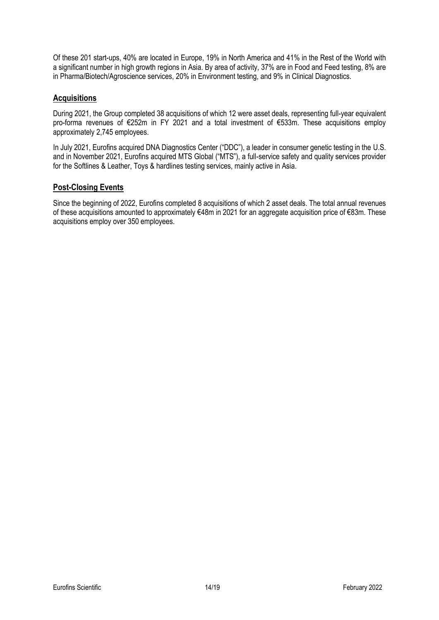Of these 201 start-ups, 40% are located in Europe, 19% in North America and 41% in the Rest of the World with a significant number in high growth regions in Asia. By area of activity, 37% are in Food and Feed testing, 8% are in Pharma/Biotech/Agroscience services, 20% in Environment testing, and 9% in Clinical Diagnostics.

# **Acquisitions**

During 2021, the Group completed 38 acquisitions of which 12 were asset deals, representing full-year equivalent pro-forma revenues of €252m in FY 2021 and a total investment of €533m. These acquisitions employ approximately 2,745 employees.

In July 2021, Eurofins acquired DNA Diagnostics Center ("DDC"), a leader in consumer genetic testing in the U.S. and in November 2021, Eurofins acquired MTS Global ("MTS"), a full-service safety and quality services provider for the Softlines & Leather, Toys & hardlines testing services, mainly active in Asia.

# **Post-Closing Events**

Since the beginning of 2022, Eurofins completed 8 acquisitions of which 2 asset deals. The total annual revenues of these acquisitions amounted to approximately €48m in 2021 for an aggregate acquisition price of €83m. These acquisitions employ over 350 employees.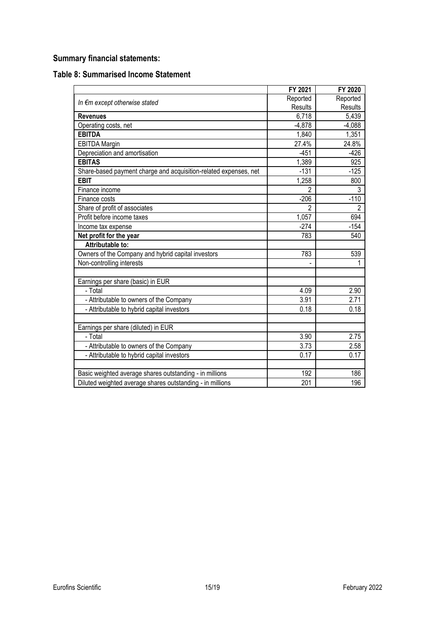# **Summary financial statements:**

| <b>Table 8: Summarised Income Statement</b> |  |
|---------------------------------------------|--|
|---------------------------------------------|--|

|                                                                  | FY 2021        | FY 2020        |
|------------------------------------------------------------------|----------------|----------------|
|                                                                  | Reported       | Reported       |
| In €m except otherwise stated                                    | Results        | Results        |
| <b>Revenues</b>                                                  | 6,718          | 5,439          |
| Operating costs, net                                             | $-4,878$       | $-4,088$       |
| <b>EBITDA</b>                                                    | 1,840          | 1,351          |
| <b>EBITDA Margin</b>                                             | 27.4%          | 24.8%          |
| Depreciation and amortisation                                    | $-451$         | $-426$         |
| <b>EBITAS</b>                                                    | 1,389          | 925            |
| Share-based payment charge and acquisition-related expenses, net | $-131$         | $-125$         |
| <b>EBIT</b>                                                      | 1,258          | 800            |
| Finance income                                                   | $\overline{2}$ | 3              |
| Finance costs                                                    | $-206$         | $-110$         |
| Share of profit of associates                                    | 2              | $\overline{2}$ |
| Profit before income taxes                                       | 1,057          | 694            |
| Income tax expense                                               | $-274$         | $-154$         |
| Net profit for the year                                          | 783            | 540            |
| Attributable to:                                                 |                |                |
| Owners of the Company and hybrid capital investors               | 783            | 539            |
| Non-controlling interests                                        |                | 1              |
| Earnings per share (basic) in EUR                                |                |                |
| - Total                                                          | 4.09           | 2.90           |
| - Attributable to owners of the Company                          | 3.91           | 2.71           |
| - Attributable to hybrid capital investors                       | 0.18           | 0.18           |
|                                                                  |                |                |
| Earnings per share (diluted) in EUR                              |                |                |
| - Total                                                          | 3.90           | 2.75           |
| - Attributable to owners of the Company                          | 3.73           | 2.58           |
| - Attributable to hybrid capital investors                       | 0.17           | 0.17           |
|                                                                  |                |                |
| Basic weighted average shares outstanding - in millions          | 192            | 186            |
| Diluted weighted average shares outstanding - in millions        | 201            | 196            |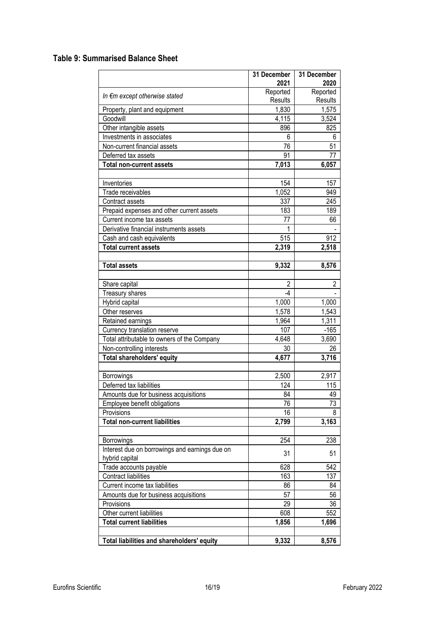# **Table 9: Summarised Balance Sheet**

|                                                | 31 December<br>2021 | 31 December<br>2020 |
|------------------------------------------------|---------------------|---------------------|
|                                                | Reported            | Reported            |
| In €m except otherwise stated                  | Results             | Results             |
| Property, plant and equipment                  | 1,830               | 1,575               |
| Goodwill                                       | 4,115               | 3,524               |
| Other intangible assets                        | 896                 | 825                 |
| Investments in associates                      | 6                   | 6                   |
| Non-current financial assets                   | 76                  | 51                  |
| Deferred tax assets                            | 91                  | 77                  |
| <b>Total non-current assets</b>                | 7,013               | 6,057               |
|                                                |                     |                     |
| Inventories                                    | 154                 | 157                 |
| Trade receivables                              | 1,052               | 949                 |
| Contract assets                                | 337                 | 245                 |
| Prepaid expenses and other current assets      | 183                 | 189                 |
| Current income tax assets                      | 77                  | 66                  |
| Derivative financial instruments assets        | 1                   |                     |
| Cash and cash equivalents                      | 515                 | 912                 |
| <b>Total current assets</b>                    | 2,319               | 2,518               |
|                                                |                     |                     |
| <b>Total assets</b>                            | 9,332               | 8,576               |
|                                                |                     |                     |
| Share capital                                  | $\overline{2}$      | $\overline{2}$      |
| Treasury shares                                | $-4$                |                     |
| Hybrid capital                                 | 1,000               | 1,000               |
| Other reserves                                 | 1,578               | 1,543               |
| Retained earnings                              | 1,964               | 1,311               |
| Currency translation reserve                   | 107                 | $-165$              |
| Total attributable to owners of the Company    | 4,648               | 3,690               |
| Non-controlling interests                      | 30                  | 26                  |
| <b>Total shareholders' equity</b>              | 4,677               | 3,716               |
|                                                |                     |                     |
| Borrowings                                     | 2,500               | 2,917               |
| Deferred tax liabilities                       | 124                 | 115                 |
| Amounts due for business acquisitions          | 84                  | 49                  |
| Employee benefit obligations                   | 76                  | 73                  |
| Provisions                                     | 16                  | 8                   |
| <b>Total non-current liabilities</b>           | 2,799               | 3,163               |
|                                                |                     |                     |
| Borrowings                                     | 254                 | 238                 |
| Interest due on borrowings and earnings due on |                     |                     |
| hybrid capital                                 | 31                  | 51                  |
| Trade accounts payable                         | 628                 | 542                 |
| <b>Contract liabilities</b>                    | 163                 | 137                 |
| Current income tax liabilities                 | 86                  | 84                  |
| Amounts due for business acquisitions          | 57                  | 56                  |
| Provisions                                     | 29                  | 36                  |
| Other current liabilities                      | 608                 | 552                 |
| <b>Total current liabilities</b>               | 1,856               | 1,696               |
|                                                |                     |                     |
| Total liabilities and shareholders' equity     | 9,332               | 8,576               |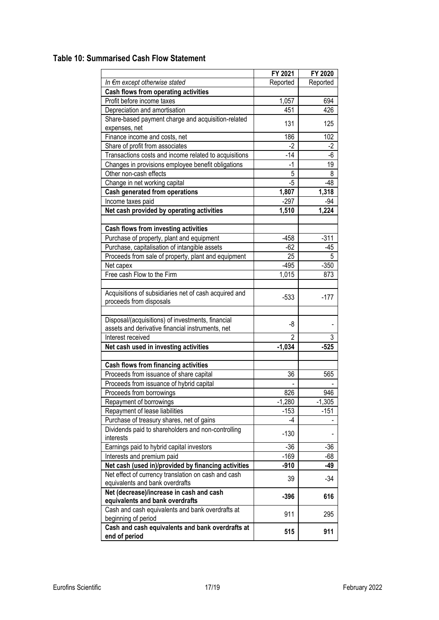# **Table 10: Summarised Cash Flow Statement**

|                                                       | FY 2021        | FY 2020  |
|-------------------------------------------------------|----------------|----------|
| In €m except otherwise stated                         | Reported       | Reported |
| Cash flows from operating activities                  |                |          |
| Profit before income taxes                            | 1,057          | 694      |
| Depreciation and amortisation                         | 451            | 426      |
| Share-based payment charge and acquisition-related    | 131            | 125      |
| expenses, net                                         |                |          |
| Finance income and costs, net                         | 186            | 102      |
| Share of profit from associates                       | $-2$           | $-2$     |
| Transactions costs and income related to acquisitions | $-14$          | -6       |
| Changes in provisions employee benefit obligations    | $-1$           | 19       |
| Other non-cash effects                                | 5              | 8        |
| Change in net working capital                         | -5             | $-48$    |
| Cash generated from operations                        | 1,807          | 1,318    |
| Income taxes paid                                     | $-297$         | $-94$    |
| Net cash provided by operating activities             | 1,510          | 1,224    |
|                                                       |                |          |
| Cash flows from investing activities                  |                |          |
| Purchase of property, plant and equipment             | $-458$         | $-311$   |
| Purchase, capitalisation of intangible assets         | $-62$          | $-45$    |
| Proceeds from sale of property, plant and equipment   | 25             | 5        |
| Net capex                                             | $-495$         | $-350$   |
| Free cash Flow to the Firm                            | 1,015          | 873      |
|                                                       |                |          |
| Acquisitions of subsidiaries net of cash acquired and |                |          |
| proceeds from disposals                               | $-533$         | $-177$   |
|                                                       |                |          |
| Disposal/(acquisitions) of investments, financial     |                |          |
| assets and derivative financial instruments, net      | -8             |          |
| Interest received                                     | $\mathfrak{p}$ | 3        |
| Net cash used in investing activities                 | $-1,034$       | $-525$   |
|                                                       |                |          |
| <b>Cash flows from financing activities</b>           |                |          |
| Proceeds from issuance of share capital               | 36             | 565      |
| Proceeds from issuance of hybrid capital              |                |          |
| Proceeds from borrowings                              | 826            | 946      |
| Repayment of borrowings                               | $-1,280$       | $-1,305$ |
| Repayment of lease liabilities                        | $-153$         | $-151$   |
| Purchase of treasury shares, net of gains             | -4             |          |
| Dividends paid to shareholders and non-controlling    | $-130$         |          |
| interests                                             |                |          |
| Earnings paid to hybrid capital investors             | $-36$          | -36      |
| Interests and premium paid                            | $-169$         | $-68$    |
| Net cash (used in)/provided by financing activities   | $-910$         | $-49$    |
| Net effect of currency translation on cash and cash   | 39             | $-34$    |
| equivalents and bank overdrafts                       |                |          |
| Net (decrease)/increase in cash and cash              | $-396$         | 616      |
| equivalents and bank overdrafts                       |                |          |
| Cash and cash equivalents and bank overdrafts at      | 911            | 295      |
| beginning of period                                   |                |          |
| Cash and cash equivalents and bank overdrafts at      | 515            | 911      |
| end of period                                         |                |          |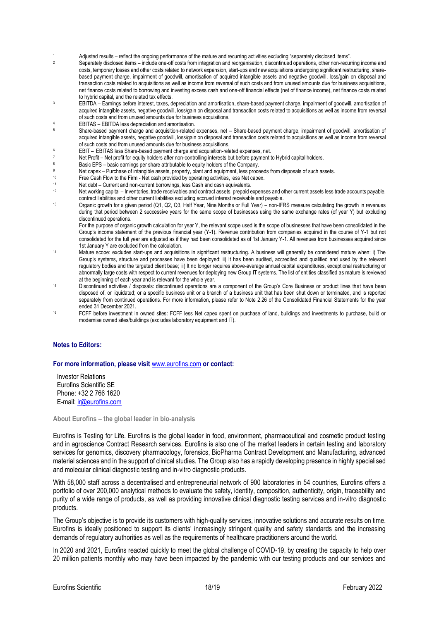- 1 Adjusted results reflect the ongoing performance of the mature and recurring activities excluding "separately disclosed items".<br>Conceptible disclosed items include and officer integration and recognisation discontinued
- Separately disclosed items include one-off costs from integration and reorganisation, discontinued operations, other non-recurring income and costs, temporary losses and other costs related to network expansion, start-ups and new acquisitions undergoing significant restructuring, sharebased payment charge, impairment of goodwill, amortisation of acquired intangible assets and negative goodwill, loss/gain on disposal and transaction costs related to acquisitions as well as income from reversal of such costs and from unused amounts due for business acquisitions, net finance costs related to borrowing and investing excess cash and one-off financial effects (net of finance income), net finance costs related to hybrid capital, and the related tax effects.
- <sup>3</sup> EBITDA Earnings before interest, taxes, depreciation and amortisation, share-based payment charge, impairment of goodwill, amortisation of acquired intangible assets, negative goodwill, loss/gain on disposal and transaction costs related to acquisitions as well as income from reversal of such costs and from unused amounts due for business acquisitions.
- <sup>4</sup> EBITAS EBITDA less depreciation and amortisation.
- <sup>5</sup> Share-based payment charge and acquisition-related expenses, net Share-based payment charge, impairment of goodwill, amortisation of acquired intangible assets, negative goodwill, loss/gain on disposal and transaction costs related to acquisitions as well as income from reversal of such costs and from unused amounts due for business acquisitions.
- <sup>6</sup> EBIT EBITAS less Share-based payment charge and acquisition-related expenses, net.
- 7 Net Profit Net profit for equity holders after non-controlling interests but before payment to Hybrid capital holders.
- Basic EPS basic earnings per share attributable to equity holders of the Company.
- 9 Net capex Purchase of intangible assets, property, plant and equipment, less proceeds from disposals of such assets.<br>10 Ereo Cash Flow to the Firm Net cash provided by operating activities, less Net capex
- 10 Free Cash Flow to the Firm Net cash provided by operating activities, less Net capex.<br>11 Net debt Current and non-current borrowings, less Cash and cash equivalents
- 11 Net debt Current and non-current borrowings, less Cash and cash equivalents.<br>12 Net working capital Inventories, trade receivables and contract assets, prepaid
- Net working capital Inventories, trade receivables and contract assets, prepaid expenses and other current assets less trade accounts payable, contract liabilities and other current liabilities excluding accrued interest receivable and payable.
- <sup>13</sup> Organic growth for a given period (Q1, Q2, Q3, Half Year, Nine Months or Full Year) non-IFRS measure calculating the growth in revenues during that period between 2 successive years for the same scope of businesses using the same exchange rates (of year Y) but excluding discontinued operations.

For the purpose of organic growth calculation for year Y, the relevant scope used is the scope of businesses that have been consolidated in the Group's income statement of the previous financial year (Y-1). Revenue contribution from companies acquired in the course of Y-1 but not consolidated for the full year are adjusted as if they had been consolidated as of 1st January Y-1. All revenues from businesses acquired since 1st January Y are excluded from the calculation.

- <sup>14</sup> Mature scope: excludes start-ups and acquisitions in significant restructuring. A business will generally be considered mature when: i) The Group's systems, structure and processes have been deployed; ii) It has been audited, accredited and qualified and used by the relevant regulatory bodies and the targeted client base; iii) It no longer requires above-average annual capital expenditures, exceptional restructuring or abnormally large costs with respect to current revenues for deploying new Group IT systems. The list of entities classified as mature is reviewed at the beginning of each year and is relevant for the whole year.
- <sup>15</sup> Discontinued activities / disposals: discontinued operations are a component of the Group's Core Business or product lines that have been disposed of, or liquidated; or a specific business unit or a branch of a business unit that has been shut down or terminated, and is reported separately from continued operations. For more information, please refer to Note 2.26 of the Consolidated Financial Statements for the year ended 31 December 2021.
- <sup>16</sup> FCFF before investment in owned sites: FCFF less Net capex spent on purchase of land, buildings and investments to purchase, build or modernise owned sites/buildings (excludes laboratory equipment and IT).

#### **Notes to Editors:**

#### **For more information, please visit** [www.eurofins.com](https://www.eurofins.com/) **or contact:**

Investor Relations Eurofins Scientific SE Phone: +32 2 766 1620 E-mail: [ir@eurofins.com](mailto:ir@eurofins.com)

**About Eurofins – the global leader in bio-analysis**

Eurofins is Testing for Life. Eurofins is the global leader in food, environment, pharmaceutical and cosmetic product testing and in agroscience Contract Research services. Eurofins is also one of the market leaders in certain testing and laboratory services for genomics, discovery pharmacology, forensics, BioPharma Contract Development and Manufacturing, advanced material sciences and in the support of clinical studies. The Group also has a rapidly developing presence in highly specialised and molecular clinical diagnostic testing and in-vitro diagnostic products.

With 58,000 staff across a decentralised and entrepreneurial network of 900 laboratories in 54 countries, Eurofins offers a portfolio of over 200,000 analytical methods to evaluate the safety, identity, composition, authenticity, origin, traceability and purity of a wide range of products, as well as providing innovative clinical diagnostic testing services and in-vitro diagnostic products.

The Group's objective is to provide its customers with high-quality services, innovative solutions and accurate results on time. Eurofins is ideally positioned to support its clients' increasingly stringent quality and safety standards and the increasing demands of regulatory authorities as well as the requirements of healthcare practitioners around the world.

In 2020 and 2021, Eurofins reacted quickly to meet the global challenge of COVID-19, by creating the capacity to help over 20 million patients monthly who may have been impacted by the pandemic with our testing products and our services and